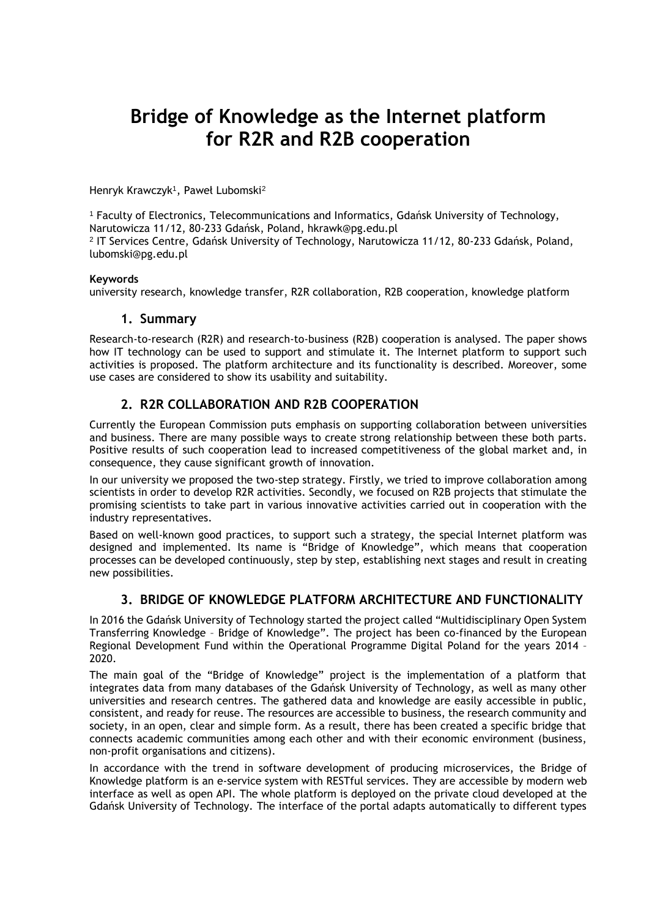# **Bridge of Knowledge as the Internet platform for R2R and R2B cooperation**

Henryk Krawczyk<sup>1</sup> , Paweł Lubomski<sup>2</sup>

<sup>1</sup> Faculty of Electronics, Telecommunications and Informatics, Gdańsk University of Technology, Narutowicza 11/12, 80-233 Gdańsk, Poland, hkrawk@pg.edu.pl

2 IT Services Centre, Gdańsk University of Technology, Narutowicza 11/12, 80-233 Gdańsk, Poland, lubomski@pg.edu.pl

#### **Keywords**

university research, knowledge transfer, R2R collaboration, R2B cooperation, knowledge platform

#### **1. Summary**

Research-to-research (R2R) and research-to-business (R2B) cooperation is analysed. The paper shows how IT technology can be used to support and stimulate it. The Internet platform to support such activities is proposed. The platform architecture and its functionality is described. Moreover, some use cases are considered to show its usability and suitability.

## **2. R2R COLLABORATION AND R2B COOPERATION**

Currently the European Commission puts emphasis on supporting collaboration between universities and business. There are many possible ways to create strong relationship between these both parts. Positive results of such cooperation lead to increased competitiveness of the global market and, in consequence, they cause significant growth of innovation.

In our university we proposed the two-step strategy. Firstly, we tried to improve collaboration among scientists in order to develop R2R activities. Secondly, we focused on R2B projects that stimulate the promising scientists to take part in various innovative activities carried out in cooperation with the industry representatives.

Based on well-known good practices, to support such a strategy, the special Internet platform was designed and implemented. Its name is "Bridge of Knowledge", which means that cooperation processes can be developed continuously, step by step, establishing next stages and result in creating new possibilities.

## **3. BRIDGE OF KNOWLEDGE PLATFORM ARCHITECTURE AND FUNCTIONALITY**

In 2016 the Gdańsk University of Technology started the project called "Multidisciplinary Open System Transferring Knowledge – Bridge of Knowledge". The project has been co-financed by the European Regional Development Fund within the Operational Programme Digital Poland for the years 2014 – 2020.

The main goal of the "Bridge of Knowledge" project is the implementation of a platform that integrates data from many databases of the Gdańsk University of Technology, as well as many other universities and research centres. The gathered data and knowledge are easily accessible in public, consistent, and ready for reuse. The resources are accessible to business, the research community and society, in an open, clear and simple form. As a result, there has been created a specific bridge that connects academic communities among each other and with their economic environment (business, non-profit organisations and citizens).

In accordance with the trend in software development of producing microservices, the Bridge of Knowledge platform is an e-service system with RESTful services. They are accessible by modern web interface as well as open API. The whole platform is deployed on the private cloud developed at the Gdańsk University of Technology. The interface of the portal adapts automatically to different types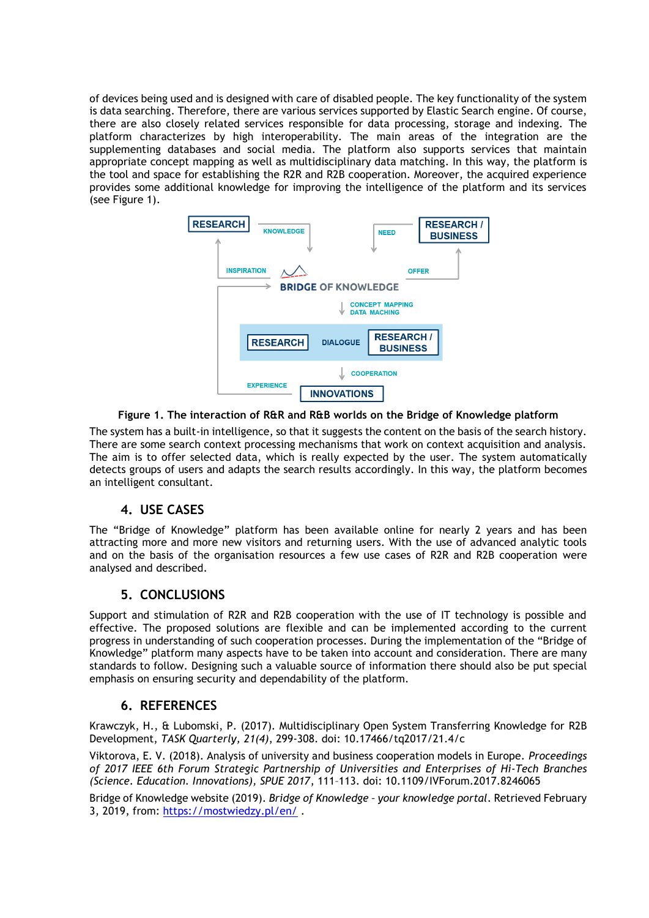of devices being used and is designed with care of disabled people. The key functionality of the system is data searching. Therefore, there are various services supported by Elastic Search engine. Of course, there are also closely related services responsible for data processing, storage and indexing. The platform characterizes by high interoperability. The main areas of the integration are the supplementing databases and social media. The platform also supports services that maintain appropriate concept mapping as well as multidisciplinary data matching. In this way, the platform is the tool and space for establishing the R2R and R2B cooperation. Moreover, the acquired experience provides some additional knowledge for improving the intelligence of the platform and its services (see Figure 1).



#### **Figure 1. The interaction of R&R and R&B worlds on the Bridge of Knowledge platform**

The system has a built-in intelligence, so that it suggests the content on the basis of the search history. There are some search context processing mechanisms that work on context acquisition and analysis. The aim is to offer selected data, which is really expected by the user. The system automatically detects groups of users and adapts the search results accordingly. In this way, the platform becomes an intelligent consultant.

### **4. USE CASES**

The "Bridge of Knowledge" platform has been available online for nearly 2 years and has been attracting more and more new visitors and returning users. With the use of advanced analytic tools and on the basis of the organisation resources a few use cases of R2R and R2B cooperation were analysed and described.

## **5. CONCLUSIONS**

Support and stimulation of R2R and R2B cooperation with the use of IT technology is possible and effective. The proposed solutions are flexible and can be implemented according to the current progress in understanding of such cooperation processes. During the implementation of the "Bridge of Knowledge" platform many aspects have to be taken into account and consideration. There are many standards to follow. Designing such a valuable source of information there should also be put special emphasis on ensuring security and dependability of the platform.

## **6. REFERENCES**

Krawczyk, H., & Lubomski, P. (2017). Multidisciplinary Open System Transferring Knowledge for R2B Development, *TASK Quarterly, 21(4)*, 299-308. doi: 10.17466/tq2017/21.4/c

Viktorova, E. V. (2018). Analysis of university and business cooperation models in Europe. *Proceedings of 2017 IEEE 6th Forum Strategic Partnership of Universities and Enterprises of Hi-Tech Branches (Science. Education. Innovations), SPUE 2017*, 111–113. doi: 10.1109/IVForum.2017.8246065

Bridge of Knowledge website (2019). *Bridge of Knowledge – your knowledge portal*. Retrieved February 3, 2019, from: <https://mostwiedzy.pl/en/> .